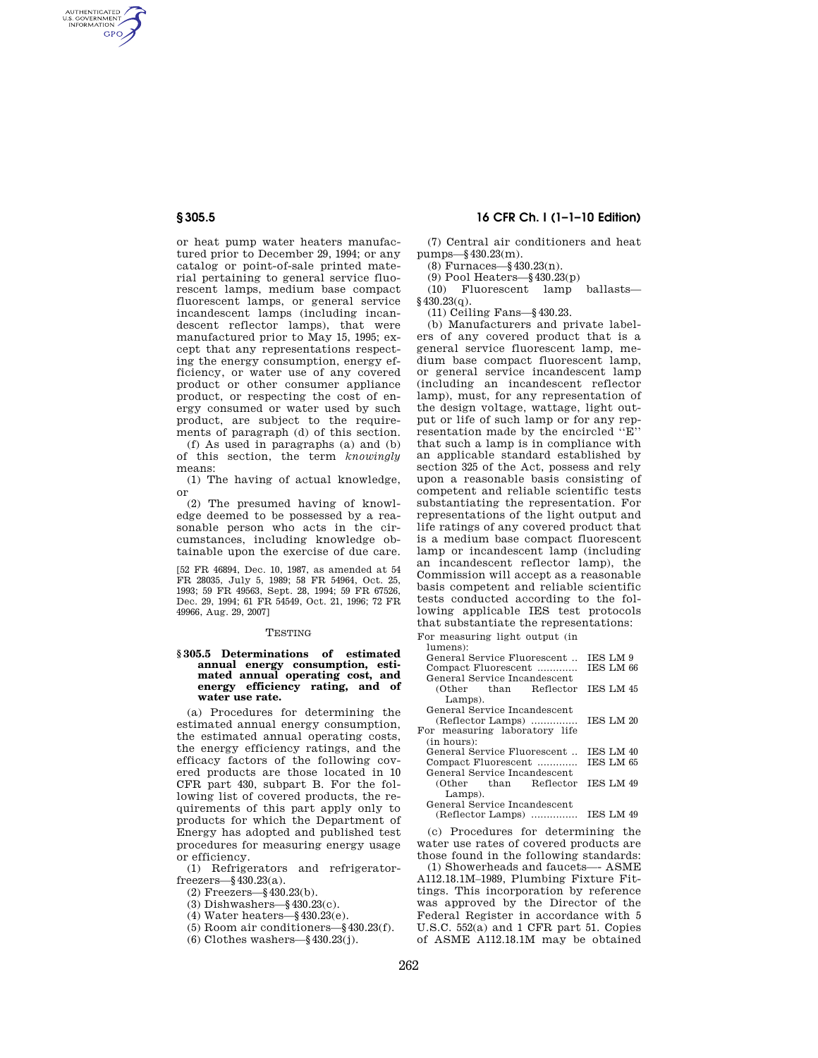AUTHENTICATED<br>U.S. GOVERNMENT<br>INFORMATION **GPO** 

> or heat pump water heaters manufactured prior to December 29, 1994; or any catalog or point-of-sale printed material pertaining to general service fluorescent lamps, medium base compact fluorescent lamps, or general service incandescent lamps (including incandescent reflector lamps), that were manufactured prior to May 15, 1995; except that any representations respecting the energy consumption, energy efficiency, or water use of any covered product or other consumer appliance product, or respecting the cost of energy consumed or water used by such product, are subject to the requirements of paragraph (d) of this section.

(f) As used in paragraphs (a) and (b) of this section, the term *knowingly*  means:

(1) The having of actual knowledge, or

(2) The presumed having of knowledge deemed to be possessed by a reasonable person who acts in the circumstances, including knowledge obtainable upon the exercise of due care.

[52 FR 46894, Dec. 10, 1987, as amended at 54 FR 28035, July 5, 1989; 58 FR 54964, Oct. 25, 1993; 59 FR 49563, Sept. 28, 1994; 59 FR 67526, Dec. 29, 1994; 61 FR 54549, Oct. 21, 1996; 72 FR 49966, Aug. 29, 2007]

## **TESTING**

## **§ 305.5 Determinations of estimated annual energy consumption, estimated annual operating cost, and energy efficiency rating, and of water use rate.**

(a) Procedures for determining the estimated annual energy consumption, the estimated annual operating costs, the energy efficiency ratings, and the efficacy factors of the following covered products are those located in 10 CFR part 430, subpart B. For the following list of covered products, the requirements of this part apply only to products for which the Department of Energy has adopted and published test procedures for measuring energy usage or efficiency.

(1) Refrigerators and refrigeratorfreezers—§430.23(a).

- (2) Freezers—§430.23(b).
- (3) Dishwashers—§430.23(c).
- (4) Water heaters—§430.23(e).
- (5) Room air conditioners—§430.23(f).
- (6) Clothes washers—§430.23(j).

# **§ 305.5 16 CFR Ch. I (1–1–10 Edition)**

(7) Central air conditioners and heat pumps—§430.23(m).

(8) Furnaces—§430.23(n).

(9) Pool Heaters—§430.23(p)

(10) Fluorescent lamp ballasts—  $§430.23(q).$ 

(11) Ceiling Fans—§430.23.

(b) Manufacturers and private labelers of any covered product that is a general service fluorescent lamp, medium base compact fluorescent lamp, or general service incandescent lamp (including an incandescent reflector lamp), must, for any representation of the design voltage, wattage, light output or life of such lamp or for any representation made by the encircled ''E'' that such a lamp is in compliance with an applicable standard established by section 325 of the Act, possess and rely upon a reasonable basis consisting of competent and reliable scientific tests substantiating the representation. For representations of the light output and life ratings of any covered product that is a medium base compact fluorescent lamp or incandescent lamp (including an incandescent reflector lamp), the Commission will accept as a reasonable basis competent and reliable scientific tests conducted according to the following applicable IES test protocols that substantiate the representations: For measuring light output (in

lumens):

| General Service Fluorescent   | <b>IES LM 9</b> |
|-------------------------------|-----------------|
| Compact Fluorescent           | IES LM 66       |
| General Service Incandescent  |                 |
| (Other than Reflector         | IES LM 45       |
| Lamps).                       |                 |
| General Service Incandescent  |                 |
| (Reflector Lamps)             | TES LM 20       |
| For measuring laboratory life |                 |
| (in hours):                   |                 |
| General Service Fluorescent   | TES LM 40       |
| Compact Fluorescent           | TES LM 65       |
| General Service Incandescent  |                 |
| (Other than Reflector         | TES LM 49       |
| Lamps).                       |                 |
| General Service Incandescent  |                 |
| (Reflector Lamps)             | TES LM 49       |
|                               |                 |

(c) Procedures for determining the water use rates of covered products are those found in the following standards:

(1) Showerheads and faucets—- ASME A112.18.1M–1989, Plumbing Fixture Fittings. This incorporation by reference was approved by the Director of the Federal Register in accordance with 5 U.S.C. 552(a) and 1 CFR part 51. Copies of ASME A112.18.1M may be obtained